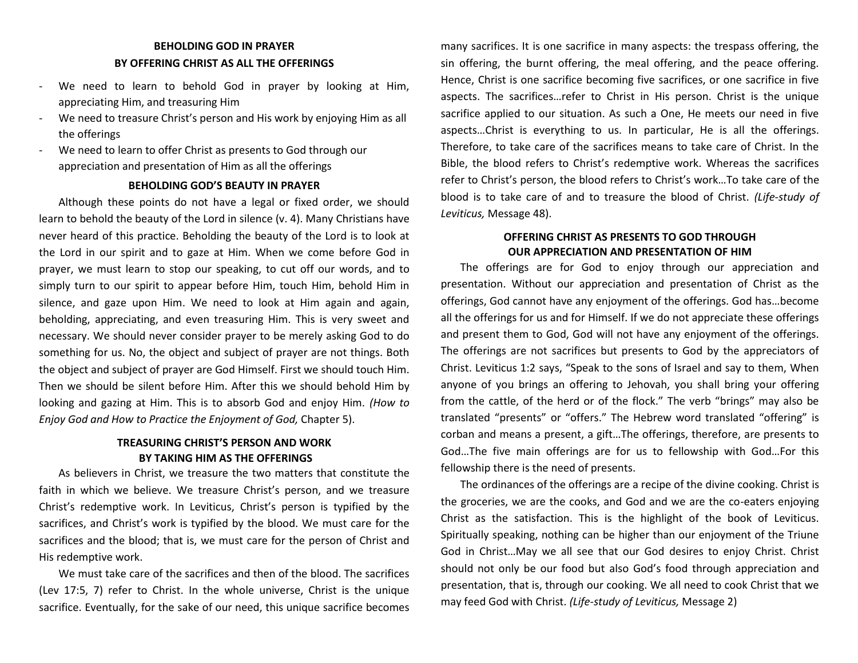## **BEHOLDING GOD IN PRAYER BY OFFERING CHRIST AS ALL THE OFFERINGS**

- We need to learn to behold God in prayer by looking at Him, appreciating Him, and treasuring Him
- We need to treasure Christ's person and His work by enjoying Him as all the offerings
- We need to learn to offer Christ as presents to God through our appreciation and presentation of Him as all the offerings

### **BEHOLDING GOD'S BEAUTY IN PRAYER**

Although these points do not have a legal or fixed order, we should learn to behold the beauty of the Lord in silence (v. 4). Many Christians have never heard of this practice. Beholding the beauty of the Lord is to look at the Lord in our spirit and to gaze at Him. When we come before God in prayer, we must learn to stop our speaking, to cut off our words, and to simply turn to our spirit to appear before Him, touch Him, behold Him in silence, and gaze upon Him. We need to look at Him again and again, beholding, appreciating, and even treasuring Him. This is very sweet and necessary. We should never consider prayer to be merely asking God to do something for us. No, the object and subject of prayer are not things. Both the object and subject of prayer are God Himself. First we should touch Him. Then we should be silent before Him. After this we should behold Him by looking and gazing at Him. This is to absorb God and enjoy Him. *(How to Enjoy God and How to Practice the Enjoyment of God,* Chapter 5).

# **TREASURING CHRIST'S PERSON AND WORK BY TAKING HIM AS THE OFFERINGS**

As believers in Christ, we treasure the two matters that constitute the faith in which we believe. We treasure Christ's person, and we treasure Christ's redemptive work. In Leviticus, Christ's person is typified by the sacrifices, and Christ's work is typified by the blood. We must care for the sacrifices and the blood; that is, we must care for the person of Christ and His redemptive work.

We must take care of the sacrifices and then of the blood. The sacrifices (Lev 17:5, 7) refer to Christ. In the whole universe, Christ is the unique sacrifice. Eventually, for the sake of our need, this unique sacrifice becomes

many sacrifices. It is one sacrifice in many aspects: the trespass offering, the sin offering, the burnt offering, the meal offering, and the peace offering. Hence, Christ is one sacrifice becoming five sacrifices, or one sacrifice in five aspects. The sacrifices…refer to Christ in His person. Christ is the unique sacrifice applied to our situation. As such a One, He meets our need in five aspects…Christ is everything to us. In particular, He is all the offerings. Therefore, to take care of the sacrifices means to take care of Christ. In the Bible, the blood refers to Christ's redemptive work. Whereas the sacrifices refer to Christ's person, the blood refers to Christ's work…To take care of the blood is to take care of and to treasure the blood of Christ. *(Life-study of Leviticus,* Message 48).

## **OFFERING CHRIST AS PRESENTS TO GOD THROUGH OUR APPRECIATION AND PRESENTATION OF HIM**

The offerings are for God to enjoy through our appreciation and presentation. Without our appreciation and presentation of Christ as the offerings, God cannot have any enjoyment of the offerings. God has…become all the offerings for us and for Himself. If we do not appreciate these offerings and present them to God, God will not have any enjoyment of the offerings. The offerings are not sacrifices but presents to God by the appreciators of Christ. Leviticus 1:2 says, "Speak to the sons of Israel and say to them, When anyone of you brings an offering to Jehovah, you shall bring your offering from the cattle, of the herd or of the flock." The verb "brings" may also be translated "presents" or "offers." The Hebrew word translated "offering" is corban and means a present, a gift…The offerings, therefore, are presents to God…The five main offerings are for us to fellowship with God…For this fellowship there is the need of presents.

The ordinances of the offerings are a recipe of the divine cooking. Christ is the groceries, we are the cooks, and God and we are the co-eaters enjoying Christ as the satisfaction. This is the highlight of the book of Leviticus. Spiritually speaking, nothing can be higher than our enjoyment of the Triune God in Christ…May we all see that our God desires to enjoy Christ. Christ should not only be our food but also God's food through appreciation and presentation, that is, through our cooking. We all need to cook Christ that we may feed God with Christ. *(Life-study of Leviticus,* Message 2)